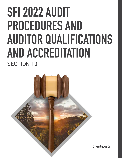# **SFI 2022 AUDIT PROCEDURES AND AUDITOR QUALIFICATIONS AND ACCREDITATION** SECTION 10

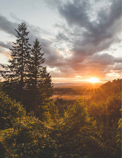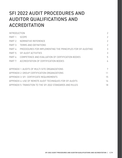## SFI 2022 AUDIT PROCEDURES AND AUDITOR QUALIFICATIONS AND **ACCREDITATION**

| <b>INTRODUCTION</b> |                                                             | $\overline{2}$ |
|---------------------|-------------------------------------------------------------|----------------|
| PART 1:             | <b>SCOPE</b>                                                | $\overline{2}$ |
| PART 2:             | NORMATIVE REFERENCE                                         | $\overline{2}$ |
| PART 3:             | <b>TERMS AND DEFINITIONS</b>                                | $\overline{2}$ |
| PART 4:             | PROCEDURES FOR IMPLEMENTING THE PRINCIPLES FOR SFI AUDITING | 3              |
| PART <sub>5:</sub>  | SFI AUDIT ACTIVITIES                                        | 3              |
| PART 6:             | COMPETENCE AND EVALUATION OF CERTIFICATION BODIES           | 5              |
| PART 7:             | ACCREDITATION OF CERTIFICATION BODIES                       | 6              |
|                     |                                                             |                |
|                     | APPENDIX 1: AUDITS OF MULTI-SITE ORGANIZATIONS              | 7              |
|                     | APPENDIX 2: GROUP CERTIFICATION ORGANIZATIONS               | 11             |
|                     | APPENDIX 3: SFI CERTIFICATE REQUIREMENTS                    | 15             |
|                     | APPENDIX 4: USE OF REMOTE AUDIT TECHNIQUES FOR SFI AUDITS   | 16             |
|                     | APPENDIX 5: TRANSITION TO THE SFI 2022 STANDARDS AND RULES  | 18             |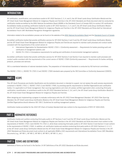## **INTRODUCTION**

All certification, recertification, and surveillance audits to SFI 2022 Sections 2, 3, 4, and 5, the SFI Small Lands Group Certification Module and the SFI Small Scale Forest Management Module for Indigenous Peoples and Families in the SFI 2022 Standards and Rules document shall be conducted by certification bodies accredited by the ANSI National Accreditation Board (ANAB) or the Standards Council of Canada (SCC) to conduct *SFI* certification. Accreditation bodies accrediting certification bodies for audits to SFI 2022 Sections 2, 3, 4, and 5, the SFI Small Lands Group Certification Module and the *SFI Small Scale Forest Management Module for Indigenous Peoples and Families* in the *SFI 2022 Standards and Rules* shall be International Accreditation Forum (IAF) Multilateral Recognition Arrangement signatories.

Information related to the accreditation process can be found on the websites of the [ANSI National Accreditation Board](https://anab.ansi.org) and the [Standards Council of Canada.](https://www.scc.ca)

Accredited certification bodies that provide certification services for *SFI* 2022 Sections 2 and 3 and the SFI Small Lands Group Certification Module and the *SFI Small Scale Forest Management Module for Indigenous Peoples and Families* are required to maintain audit processes and conduct audits consistent with the requirements of the current version of:

- International Organization for Standardization ISO/IEC 17021-1 (Conformity assessment Requirements for bodies providing audit and certification of management systems; and
- ISO/IEC TS 17021-2 (Competence requirements for auditing and certification of environmental management systems).

Accredited certification bodies that provide certification services for *SFI* 2022 Sections 4 and Section 5 are required to maintain audit processes and conduct audits consistent with the requirements of the current version of ISO/IEC 17065 (Conformity assessment — Requirements for bodies certifying products, processes and services).

ISO is a worldwide federation of national standards bodies. The preparation of International Standards is conducted by ISO technical committees.

The ISO/IEC 17021-1, ISO/IEC TS 17021-2 and ISO/IEC 17065 standards were prepared by the ISO Committee on Conformity Assessment (CASCO).

## **PART 1: SCOPE**

This SFI Audit Procedures and Auditor Qualification and Accreditation document is intended to support, but not replace the audit process requirements contained in ISO/IEC 17021-1, ISO/IEC 17021-2 and ISO/IEC 17065, by providing specific requirements to Certified Organizations and certification *bodies.* It is applicable to all forest management, fiber sourcing organizations and chain-of-custody certified organization when conducting *third-party*  certification, recertification, or surveillance audits to the *SFI 2022 Standards* Sections 2, 3,4, and 5, the SFI Small Lands Group Certification Module or the *SFI Small Scale Forest Management Module for Indigenous Peoples and Families.* 

When designing and implementing a program to evaluate conformance with the *SFI 2022 Forest Management Standard, SFI 2022 Fiber Sourcing Standard,* the SFI Small Lands Group Certification Module or the *SFI Small Scale Forest Management Module for Indigenous Peoples and Families*, Certified Organizations should reference ISO 19011 Guidelines for auditing management systems.

Certification bodies accredited for the *2022 SFI Chain of Custody Standard* shall also conform to the requirements of PEFC ST 2003-2020.

## **PART 2: NORMATIVE REFERENCE**

Certification bodies and *auditors* conducting third-party audits to *SFI* Sections 2 and 3 and the SFI Small Lands Group Certification Module and the *SFI Small Scale Forest Management Module for Indigenous Peoples and Families* in the *SFI 2022 Standards and Rules* document must conform to the requirements of ISO/IEC 17021-1and ISO/IEC TS 17021-2, while those conducting third-party audits to *SFI* 2022 Section 4 and Section 5 must conform to the requirements of ISO/IEC 17065. In addition, all certification bodies and *auditors* conducting third-party audits to *SFI* 2022 Sections 2, 3, 4, 5 or the SFI Small Lands Group Certification Module and the *SFI Small Scale Forest Management Module for Indigenous Peoples and Families* in the *SFI 2022 Standards and Rules* document must conform to all applicable ANAB or SCC requirements and International Accreditation Forum (IAF) Mandatory Documents (e.g., IAF MD 1, IAF MD 2, IAF MD 4, IAF MD 5, IAF MD 11, etc.).

## **PART 3: TERMS AND DEFINITIONS**

Definitions of terms can be found in the Section 14 SFI Definitions of the *SFI 2022 Standards and Rules* document.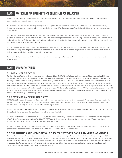## **PART 4: PROCEDURES FOR IMPLEMENTING THE PRINCIPLES FOR SFI AUDITING**

ISO/IEC 17021-1 Section 4 addresses general principles associated with auditing, including impartiality, competence, responsibility, openness, confidentiality, and responsiveness to complaints.

All information and documents, including working drafts and reports, shall be considered confidential. Certification bodies shall not release any information or documents without the prior written permission of the Certified Organization. Auditors shall conduct themselves in a professional and ethical manner.

Certification bodies and *audit team* members and their employers shall not participate in an appraisal or advise a potential purchaser or broker a purchase of property audited within the prior three years without the written permission of the audited party. Certification bodies, audit team members, and employers shall notify the audited party of participation in such activities after the three-year period immediately upon initiation of such activities for a period of at least 10 years following the audit.

Prior to engaging in an audit and the Certified Organization's acceptance of the audit team, the certification bodies and *audit team* members shall disclose to the party requesting the audit any prior land appraisal or assessment work or land brokerage activity or other professional services they or their employers conducted related to the property to be audited.

Certification bodies must successfully complete annual witness audits and periodic re-accreditation audits to maintain their accreditation status from ANAB or SCC.

## **PART 5: SFI AUDIT ACTIVITIES**

#### **5.1 INITIAL CERTIFICATION**

For the initial certification audit to be completed, the auditee must be a *Certified Organization* or be in the process of becoming one in which case the final certification decision is conditioned on becoming a Certified Organization. The SFI 2022 certificate(s), *Forest Management Standard, Fiber*  Sourcing Standard, Chain-of-Custody Standard, Certified Sourcing Standard, the SFI Small Lands Group Certification Module or the *SFI Small Scale Forest Management Module for Indigenous Peoples and Families* cannot be issued by the certification body until the applicant has become a Certified Organization. It should be noted that the *SFI 2022 Standards and Rules* is a publicly available document and, as such, anyone who wants to can offer their opinion on an organization's conformance to it. However, because "Sustainable Forestry Initiative" and "SFI" are registered service marks, an entity would infringe on this ownership in violation of the federal intellectual property laws if they were to use the service marks in a public claim about the opinion without becoming a Certified Organization.

#### **5.2 CERTIFICATION OF MULTIPLE SITES**

ISO/IEC 17021-1 clause 9.1.5 specifies that where multi-site sampling is utilized for the audit of a organization's management system covering the same activity in various locations, the certification body shall develop a sampling *program* to ensure proper audit of the management system. The rationale for the sampling plan shall be documented for each *organization*.

International Accreditation Forum Mandatory Document 1 (IAF MD 1) provides mandatory guidance for the consistent application of ISO/IEC 17021-1 Clause 9.1.5 that is subject to the specific requirements of relevant standards.

Within the context of the SFI 2022 Sections 2, 3, 4, 5, the SFI Small Lands Group Certification Module or the *SFI Small Scale Forest Management Module for Indigenous Peoples and Families* of the *SFI 2022 Standards* and specific risks associated with certification of *forestry* operations, certification bodies may apply alternative sampling approaches to IAF MD 1.

Additional information regarding multi-site certification (including the circumstances under which alternative sampling approaches to IAF MD-1 is permissible) is included in Appendix 1 of Section 10 in the *SFI 2022 Standards and Rules* document*.*

#### **5.3 SUBSTITUTION AND MODIFICATION OF** *SFI 2022 SECTIONS 2 AND 3 STANDARD INDICATORS*

Certified Organizations, with consent of the certification body, may substitute or modify *indicators* in *SFI 2022 Section 2 Forest Management Standard*  and SFI 2022 Section 3 Fiber Sourcing Standard to address local conditions based on a thorough analysis and adequate justification. The certification *body* is responsible for ensuring revised *indicators* are consistent with the spirit and intent of the SFI 2022 Sections 2 and 3 standards performance *measures* and *indicators* and with the *principles* of *sustainable forestry*, and that the changes are appropriate for specific local conditions and circumstances and the Certified Organization's scope of operation.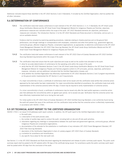Additional *indicators* beyond those identified in the SFI 2022 Sections 2 and 3 Standards, if included by the Certified Organization, shall be audited like all other *indicators.* 

#### **5.4 DETERMINATION OF CONFORMANCE**

5.4.1 The certification body shall assess conformance to each element of the SFI 2022 Sections 2, 3, 4, 5 Standards, the SFI Small Lands Group Certification Module and the SFI Small Scale Forest Management Module for Indigenous Peoples and Families, objectives, *performance measures* and *indicators* within the scope of the audit. *SFI 2022 Standards* elements are objectives, performance *measures* and *indicators.* The introduction (Section 1) to the *SFI 2022 Standards and Rules* document is informative, and as such, is not an auditable element.

 Evidence shall be compiled by examining operating procedures, materials relating to *forestry* practices and on-the-ground field performance, and through meetings or correspondence with employees, contractors and other third parties (e.g., government agencies, community groups, affected *Indigenous Peoples, conservation* organizations), as appropriate, to determine conformance to the *SFI 2022 Forest Management Standard*, the *SFI 2022 Fiber Sourcing Standard,* the SFI Small Lands Group Certification Module and the *SFI Small Scale Forest Management Module for Indigenous Peoples and Families.*

- 5.4.2 The certification body shall assess conformance to each element of the *SFI 2022 Chain-of-Custody Standard* and SFI 2022 Certified *Sourcing Standard* requirements within the scope of the audit.
- 5.4.3 The certification body shall ensure that the audit objectives and scope as well as the *auditor* time allocated to the audit:
	- allow for accurate determination of conformance for the operating units within the scope of the audit;
	- verify that the SFI 2022 Standards Sections 2 and 3, the SFI Small Lands Group Certification Module or the *SFI Small Scale Forest Management Module for Indigenous Peoples and Families programs* conform to SFI principles, policies, objectives, performance *measures, indicators,* and any additional *indicators* that the Certified Organization chooses; and
	- verify whether the Certified Organization has effectively implemented its SFI 2022 Standards Sections 2 and 3 program requirements on the ground and/or implemented the SFI Section 4, and 5 requirements.

If a major nonconformity is found, a certificate of conformance shall not be issued until the certification body verifies that corrective action approved by the *lead auditor* has been implemented. For major nonconformities identified at surveillance, the certification body must verify implementation of the corrective action(s) within 90 days. A revisit may be required to verify implementation of corrective actions.

 If a *minor nonconformity* is found, a certificate of conformance may be issued only after the *lead auditor* approves a corrective action plan that addresses the nonconformity within an agreed-upon period, not to exceed one year. Verification that the corrective action has been effectively implemented shall occur during the next audit.

For initial audits to the SFI 2022 Chain-of-Custody Standard or SFI 2022 Certified Sourcing Standard, a non-conformity found during the audit will prevent the issue of the certificate until the *certification body* verifies that the corrective action is effectively implemented, in accordance with ISO/IEC 17065.

#### **5.5** *SFI* **TECHNICAL AUDIT REPORT TO THE** *CERTIFIED ORGANIZATION*

ISO/IEC 17021-1 at clause 9.4.8 addresses audit report contents. In addition, the *SFI* audit report to the Certified Organization shall cover:

- a. the audit plan;
- b. a description of the audit process used;
- c. the number of *auditor* days used to conduct the audit, including both on site and off-site audit activities;
- d. information regarding any meetings or correspondence between the *audit team* and government agencies, community groups, affected *Indigenous Peoples* and *conservation* organizations;

e. documentation of the rationale for the substitution or modification of any indicators (*SFI 2022 Forest Management Standard, SFI 2022 Fiber Sourcing Standard*);

- f. description of the Certification Organization's chain of custody program (*SFI 2022 Chain of Custody Standard*);
- g. a schedule for surveillance and recertification;
- h. any specific focus areas for the next audit visit.

See Section 11 in the *SFI 2022 Standards and Rules* document regarding the development and release of public summary audit reports. The public audit summary report shall be posted to the SFI website within 90 days of the certificate being issued. For surveillance audits the public summary audit report shall be posted within 90 days from the conclusion of the audit.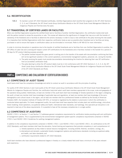#### **5.6 RECERTIFICATION**

5.6.1 To maintain current *SFI 2022 Standard* certificates, Certified Organizations shall recertify their programs to the *SFI 2022 Sections*  2, 3, 4, and 5 Standards, the SFI Small Lands Group Certification Module or the *SFI Small Scale Forest Management Module for Indigenous Peoples and Families* every five years.

#### **5.7 TRANSFERAL OF CERTIFIED LANDS OR FACILITIES**

When one Certified Organization acquires the certified forest land or facilities of another Certified Organization, the certification bodies shall work with the parties involved to review the acquisition or sale. This review will determine the significance of changes that may occur with the transfer of ownership of the forestland and or facilities to determine the actions necessary in order to issue a new certificate to the party receiving the new assets. It is imperative that Certified Organizations notify their respective certification body as soon as possible when forestland and or facilities are being purchased or sold to ensure that lapses in certification status can be eliminated or minimized. Refer to IAF MD-02 for more information.

In order to minimize disruptions in operations due to the transfer of certified forestlands and or facilities from one Certified Organization to another, the SFI Office of Label Use and Licensing will respect current SFI certifications for the forestlands and or facilities involved in the transfer for a period of 90 days for SFI product labeling purposes provided:

- a. The parties involved request this grace period in writing prior to the transfer of the assets with documentation confirming that there will not be significant variation in the current operations, environmental management systems, personnel, etc. during the transfer.
- b. The party receiving the assets must provide documentation demonstrating the timeline for obtaining their new *SFI* certification from an accredited certification body.
- c. The party desiring to utilize the *SFI* product labels must be in full conformance with SFI 2022 Sections 2, 3, 4, 5, 6, the *SFI*  Small Lands Group Certification Module or the *SFI Small Scale Forest Management Module for Indigenous Peoples and Families* of the *SFI 2022 Standards and Rules.*

## **PART 6: COMPETENCE AND EVALUATION OF CERTIFICATION BODIES**

#### **6.1 COMPETENCE OF** *AUDIT TEAMS*

*Audit teams* shall have the competence (knowledge and skills) to conduct an audit in accordance with the principles of auditing.

For audits of SFI 2022 Sections 2 and 3 and audits of the SFI Small Lands Group Certification Module or the *SFI Small Scale Forest Management Module for Indigenous Peoples and Families*, the certification body shall select *audit team* members appropriate to the scope, scale and geography of the operation being audited. Additionally, at least one member of the *audit team* shall have knowledge of *forestry* operations in the region undergoing the audit, at least one member shall have knowledge of applicable laws and regulations, at least one member shall have knowledge of the sociodemographics and cultural issues in the region, and at least one member shall be a professional forester as defined by the Society of American Foresters (SAF), the Canadian Institute of Forestry (CIF-IFC), or licensed or registered by the state(s) or province(s) in which the certification is conducted where applicable. For forest management audits, the *audit team* shall have expertise that includes plant and *wildlife* ecology, *silviculture,*  forest modeling, forest operations, occupational safety and health, international labor standards, and hydrology. One specialist per discipline is not required to meet any of the above requirements. It is possible to have all the necessary competencies in a single auditor.

#### **6.2 COMPETENCE OF** *AUDITORS*

ISO/IEC 17021:1 at Section 7.1 and Section 7.2 addresses general competence requirements for certification bodies providing audit and certification of management systems. This is supplemented by the environmental management system-specific competence requirements contained in ISO/IEC 17021-2 and ISO/IEC 19011 Guidelines for auditing management systems.

In addition to the competence requirements contained in ISO/IEC 17021-1 and ISO/IEC 17021-2 and ISO/IEC 19011, for certifications to the *SFI 2022 Standards, audit team* members shall have the education, formal training and experience that promote competency in and comprehension of:

- a. *forestry* operations as they relate to natural resource management, including *wildlife,* fisheries, recreation, ecology, etc.;
- b.international and domestic *sustainable forestry* management systems and performance standards including occupational safety and health, and labor standards; and
- c. certification requirements related to *SFI 2022 Standards.*

*Audit team* members who have obtained a professional degree in forestry or a closely related field shall have a minimum of two years relevant work experience.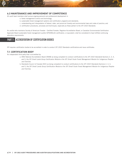#### **6.3 MAINTENANCE AND IMPROVEMENT OF COMPETENCE**

All *audit team* members shall pursue ongoing personal and professional development in

- a. forest management science and technology;
- b. sustainable forest management systems and certification *programs* and standards;
- c. understanding and interpretation of federal, state, and provincial *forestry* and environmental laws and codes of practice; and
- d. certification procedures, processes and techniques, especially as these pertain to the *SFI 2022 Standards.*

An *auditor* who maintains Society of American Forester - Certified Forester, Registrar Accreditation Board, or Canadian Environmental Certification Approvals Board sustainable forest management *auditor* (EP(EMSLA)) certification, or equivalent, shall be considered to have fulfilled continuing education requirements.

## **PART 7: ACCREDITATION OF CERTIFICATION BODIES**

SFI requires certification bodies to be accredited in order to conduct SFI 2022 Standards certifications and issue certificates.

#### **7.1** *CERTIFICATION BODY*

An independent third party that is accredited by:

- a. ANSI National Accreditation Board (ANAB) as being competent to conduct certifications to the *SFI 2022 Standards* Sections 2, 3, 4, and 5, the SFI Small Lands Group Certification Module or the *SFI Small Scale Forest Management Module for Indigenous Peoples and Families.*
- b. Standards Council of Canada (SCC) as being competent to conduct certifications to the *SFI 2022 Standards* Sections 2, 3, 4, and 5, the SFI Small Lands Group Certification Module or the *SFI Small Scale Forest Management Module for Indigenous Peoples and Families.*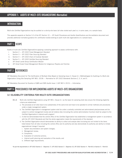## **APPENDIX 1: AUDITS OF MULTI-SITE ORGANIZATIONS (Normative)**

## **INTRODUCTION**

Multi-site Certified Organizations may be audited on a site-by-site basis (all sites visited each year) or, in some cases, on a sample basis.

This appendix expands on Section 5.2 of the SFI Section 10 - SFI Audit Procedures and Auditor Qualifications and Accreditation document and provides additional normative guidance for *certification bodies* wishing to audit multi-site organizations on a sample basis.

## **PART 1: SCOPE**

Audits of multi-site Certified Organizations applying a sampling approach to assess conformance with:

- i. Section 2 *SFI 2022 Forest Management Standard*
- ii. Section 3 *SFI 2022 Fiber Sourcing Standard*
- iii. Section 4 — *SFI 2022 Chain-of-Custody Standard*
- iv. Section 5 SFI 2022 Certified Sourcing Standard
- v. SFI Small Lands Group Certification Module
- vi. *SFI Small Scale Forest Management Module for Indigenous Peoples and Families*

## **PART 2: REFERENCES**

IAF Mandatory Document for The Certification of Multiple Sites Based on Sampling Issue 2, Clause 6.1: Methodologies for Auditing of a Multi-site Organization Using Site Sampling (IAF MD1: 2018) — Normative for SFI 2022 Standards Sections 2, 3, 4, and 5.

IAF Mandatory Document for Duration of QMS and EMS Audits Issue 1 (IAF MD 5: 2015) — Informative.

## **PART 3: PROCEDURES FOR IMPLEMENTING AUDITS OF MULTI-SITE ORGANIZATIONS**

#### **3.1 ELIGIBILITY CRITERIA FOR MULTI-SITE ORGANIZATIONS**

- 3.1.1 Multi-site Certified Organizations using IAF MD1, Clause 6.1 as the basis for sampling shall also ensure the following eligibility criteria are established:
	- a. The processes at all sites have to be substantially of the same kind and have to be operated to similar methods and procedures under a single management system.
	- b. The Certified Organization's management system shall be under a centrally controlled and administered plan/processes and be subject to central management review and all relative sites (including the central administration function) shall be subject to the Certified Organization's internal audit *program*1.
	- c. It shall be demonstrated that the central office of the Certified Organization has established a management system in accordance with the *SFI 2022 Standards* and that the whole organization meets the requirements of the standard.
	- d. The Certified Organization should demonstrate its ability to collect and analyze data (including but not limited to the items listed below) from all sites including the central office and its authority and also demonstrate its authority and ability to initiate organizational change if required:
		- i. System documentation and system changes;
		- ii. Management review;
		- iii. Complaints;
		- iv. Evaluation of corrective actions;
		- v. Internal audit planning and evaluation of the results; and
		- vi. Different legal requirements.

<sup>1</sup>As per the requirements in *SFI* 2022 Section 2 – Objective 17; *SFI* 2022 Section 3 – Objective 10; *SFI* 2022 Section 4 – Part 8.6 or Section 5 – Part 8.6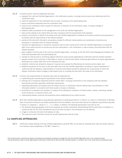- **3.1.2** A central function<sup>2</sup> shall be established that shall:
	- a. represent the multi-site Certified Organization in the certification process, including communication and relationship with the certification body;
	- b. submit an application for the certification and its scope, including a list of participating sites;
	- c. ensure contractual relationship with the certification body;
	- d. submit to the certification body a request for extension or reduction of the certification scope, including coverage of participating sites;
	- e. establish written procedures for the management of the multi-site Certified Organization.
	- f. keep records relating to the central office and sites compliance with the requirements of the standard.
	- g. provide a commitment on behalf of the whole multi-site Certified Organization to establish and maintain practices and procedures in accordance with the requirements of the relevant standard;
	- h. provide all the sites with information and guidance needed for effective implementation and maintenance of practices and procedures in accordance with the relevant standard;
	- i. maintain the organizational or contractual connection with all sites covered by the multi-site Certified Organization including the right of the central function to exclude any site from participation in the certification in case of serious nonconformities with the relevant standard;
	- j. keep a register of all the sites of the multi-site Certified Organization, including, for the *SFI 2022 Forest Management Standard*, the forest area associated with each participating site;
	- k. maintain an internal audit or monitoring *program* sufficient to ensure overall organizational conformance with the relevant standard;<sup>3</sup>
	- l. operate a review of the conformity of sites based on results of internal audit and/or monitoring data sufficient to assess organizational performance as a whole rather than at the individual site level;
	- m. establish corrective and preventive measures if required and evaluate the effectiveness of corrective actions taken; and
	- n. establish procedures for inclusion of new sites within the multi-site Certified Organization including an internal assessment of conformity with the standard, implementation of corrective and relevant preventive measures and a requirement to inform the relevant certification body of changes in participation prior to including the sites within the scope of the certification.
- **3.1.3** Functions and responsibilities of individual sites shall be established for:
	- a. implementing and maintaining the requirements of the relevant standard;
	- b. entering into a contractual relationship with the central office, including commitment on the compliance with the standard requirements and other applicable certification requirements.
	- c. responding effectively to all requests from the central function or *certification body* for relevant data, documentation or other information whether in connection with formal audits or reviews or otherwise;
	- d. providing full co-operation and assistance in respect of the satisfactory completion of internal audits, reviews, monitoring, relevant routine enquiries, or corrective actions; and
	- e. implementing relevant corrective and preventive actions established by the central function.
- 3.1.4 Multi-Site Certified Organizations using alternate approaches to sampling provided for in Section 10, clause 5.2 Certification of Multiple Sites of the Audit Procedures and *Auditor* Qualifications and Accreditation document shall meet all the eligibility requirements specified in Section 10, Appendix 1, clause  $3.1.1 - 3.1.3$  above. In addition, the following requirements must also be met:
	- a. The alternate sampling approach must be accompanied by a written justification demonstrating that the same level of confidence in conformity with the *SFI 2022 Standards* across all the sites included in the certification can be obtained.
	- b. A legal or contractual link shall exist between all sites.
	- c. The scope and scale of activities carried out by participating sites shall be similar.

#### **3.2 SAMPLING APPROACHES**

3.2.1 Certification bodies auditing multi-site Certified Organizations using IAF MD1 as the basis for sampling shall meet the sample selection and intensity criteria established in IAF MD1, Clause 6.1.

<sup>2</sup>The central function comprises the system of processes and procedures necessary to manage the multi-site Certified Organization and is not a physical location. <sup>3</sup> Annual performance data on overall organizational conformance implies that all sites have been internally audited, or monitored, prior to the initial audit and subsequent audit.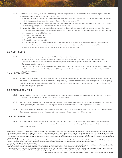- 3.2.2 Certification bodies auditing multi-site Certified Organizations using alternate approaches as the basis for sampling shall meet the following minimum sample selection and intensity criteria:
	- a. stratification of the sites included within the multi-site certification based on the scope and scale of activities as well as previous audit findings, complaints and monitoring data collated by the central function;<sup>4, 5</sup>
	- b. a formal documented evaluation of the inherent and control risks at each of the sites participating in the multi-site certification;
	- c. a sample strategy designed to specifically address the identified risks;
	- d. consideration of the need for an element of randomness within the sampling strategy to address previously unidentified risks;
	- e. in cases where the multi-site Certified Organizations maintains an internal audit *program* determined to be reliable the minimum sample size shall in no event be less than:
		- i.  $\sqrt{(n)}$  for initial certification audits<sup>6</sup>
		- ii. 0.6 √(n) for surveillance audits
		- iii. 0.8 √(n) for re-certification audits
	- f. In cases where the multi-site Certified Organizations does not maintain an internal audit *program* determined to be reliable the minimum sample size shall in no event be less than  $\sqrt{(n)}$  for initial certifications, surveillance audits and re-certification audits; and
	- g. In addition to site audits, the central function shall be audited on an annual basis.7

#### **3.3 AUDIT SCOPE**

- **3.3.1** At a minimum the audit sampling process shall address all elements of the standards on an:
	- Annual basis for surveillance audits of conformance with SFI 2022 Sections 2, 3, 4, and 5, the SFI Small Lands Group Certification Module or the *SFI Small Scale Forest Management Module for Indigenous Peoples and Families* of the *SFI 2022 Standards and Rules* document.
	- Every five years for re-certification audits of conformance with the SFI 2022 Section 2, 3, 4, and 5, the SFI Small Lands Group Certification Module or the *SFI Small Scale Forest Management Module for Indigenous Peoples and Families of the <i>SFI 2022 Standards and Rules.*

#### **3.4 AUDIT DURATION**

**3.4.1** In determining the overall duration of multi-site audits the underlying objective is to maintain at least the same level of confidence that would be achieved under IAF MD1. When calculating audit days, consideration should be given to the general principles guiding audit time calculations outlined in ISO/IEC 17021-1 Section 9.1.4 Determining audit time, IAF-MD5 and IAF MD11 (for audits of integrated management systems).

#### **3.5 NONCONFORMITIES**

- **3.5.1** Nonconformities identified at the site or organizational level shall be addressed by the central function considering both the site level implications and the broader implications for the organization as a whole.
- 3.5.2 If a major nonconformity is found, a certificate of conformance shall not be issued until the *certification body* verifies that corrective action approved by the lead auditor has been implemented at both the site level and for the organization as a whole.
- 3.5.3 Certification bodies shall close out identified *minor nonconformities* at the next scheduled audit. This may require an amendment to the site sampling strategy to ensure that open site-level nonconformities are closed out at the next audit.<sup>8</sup>

#### **3.6 AUDIT REPORTING**

**3.6.1** At a minimum, the certification body shall prepare a technical audit report that addresses the multi-site Certified Organizations as a whole. Individual site level reports may be developed to summarize site-level findings but do not eliminate the need for an organization level report.

 $6$  Where  $n =$  the number of sites within the stratum.

<sup>&</sup>lt;sup>4</sup> For example in a multi-site Certified Organization with three forest management operations and 15 procurement operations at a minimum, separate strata would be required for the woodlands and procurement operations. Under *SFI* 2022 Sections 2 and 3, a range of processing facilities may be included under a single stratum to the extent that the nature and risks associated with the fiber supply are consistent across the facilities e.g., three sawmills a plywood mill and a pulp mill may be included within a single stratum if they are all using fiber with a similar risk profile (such as from a single state/province/region). If one of the sawmills imported tropical hardwoods, it would require a separate stratum.

<sup>&</sup>lt;sup>5</sup> In determining the impact of previous audit findings on a sample strategy consideration shall be given to both the need to formally close out prior audit findings (which may require a site visit) and the implications of previous audit findings for ongoing conformance with the applicable standard(s) by individual sites.

<sup>&</sup>lt;sup>7</sup> Auditing of the central function will be primarily based on interviews, document and record review and may be conducted through any combination of off-site audit activities, additional activities carried out through electronic record access at individual sites or visits to the central office as appropriate.

<sup>&</sup>lt;sup>8</sup> For example, where Operation A has a *minor nonconformity* raised in 2022, it will be necessary to close this out in 2023 regardless of whether Operation A was scheduled to be one of the sites sampled in 2023. As a result, the sampling strategy will need to include a process for closing out open site-level nonconformities.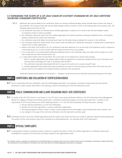#### **3.7 EXPANDING THE SCOPE OF A** *SFI 2022 CHAIN-OF-CUSTODY STANDARD* **OR** *SFI 2022 CERTIFIED SOURCING STANDARD* **CERTIFICATES**

- 3.7.1 Additional sites may be added by the *certification body* to an existing certificate between audits provided they are within the scope of the certificate. The number of sites that may be added between audits is limited to 100% of the existing sites at the previous audit. The following requirements shall be met:
	- a. the *certification body* shall be informed by the *certified organization* in advance of its intent to add new sites between audits, including the number of sites to be added;
	- b. the certification body shall obtain from the certified organization the system procedures covering the additional sites, including the products covered by the scope of the certificate;
	- c. the certification body shall obtain the internal audit report for the site(s) being considered for inclusion in the certificate;
	- d. the certification body shall review results of the internal audit and determine if additional information is needed while considering the request of the certified organization;
	- e. based on the result of the review in (d), the *certification body* shall determine if an on-site audit of the additional site(s) is required or if the review as per (b), (c) and (d) shows sufficient evidence that the sites can be added;
	- f. if an on-site audit is not required before adding the additional site(s) to the certificate, these new site(s) shall be subject to on-site visit no later than the next scheduled audit, and
	- g. in cases where remote audits are permitted, the on-site audit can be replaced by a remote audit provided:
		- i. audit of certified organizations that operate without physical possession are conducted remotely with the use of information and communication technology (ICT) tools in accordance with IAF MD 4.
		- ii. The *certification body* shall demonstrate that the full scope of the audit can be covered using ICT tools.

 iii. certified organization that operate with physical possession but have not sold any physical product with a *SFI* claim since the previous audit, are not eligible to be audited remotely according to this requirement.

Certification Bodies should reference to *SFI* Section 7 – Guidance: Guidance for the Use of Remote Auditing Techniques for SFI Audits

## **PART 4: COMPETENCE AND EVALUATION OF CERTIFICATION BODIES**

**4.1** Prior to conducting multi-site certification under the methodologies described in this appendix certification bodies shall have documented procedures in place to guide *audit teams* in the planning, conduct and reporting of multi-site certification audits.

## **PART 5: PUBLIC COMMUNICATION AND CLAIMS REGARDING MULTI-SITE CERTIFICATES**

- **5.1** For audits of the *SFI* 2022 Section 2 and Section 3, the SFI Small Lands Group Certification Module or the *SFI Small Scale Forest Management Module for Indigenous Peoples and Families* requirements, certification bodies shall prepare a summary audit report that, in addition to the requirements of *SFI* Communications and Public Reporting (Section 11) in the *SFI 2022 Standards and Rules* document, indicates:
	- a. the fact that the certification is a multi-site certification;
	- b. whether the multi-site organization is a group certification organization;
	- c. the sampling approach (strata, location, number of sites sampled and the percentage of sites sampled within each stratum); and
	- d. any changes in the scope of the multi-site certification since the last public summary report.
- **5.2** Certificates issued to multi-site certified organizations shall be issued to the central function and include an appendix listing the participating sites. The central function shall provide a copy of the certificate to all participating sites. The certificate shall list all participants.

## **PART 6: OFFICIAL COMPLAINTS**

**6.1** In assessing the validity of complaints raised in relation to a specific site within a multi site certified organizations, certification bodies shall investigate the complaint at the site level and (where relevant) at the organizational level.<sup>9</sup>

 $9$  For example, where a complaint has implications for the effectiveness of a process carried out by the central function (such as procedures, monitoring or internal audit) then the implications for the reliability of information from other sites within the *certified organization* shall also be considered.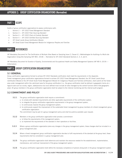## **APPENDIX 2: GROUP CERTIFICATION ORGANIZATIONS (Normative)**



Audits of group certification organizations to assess conformance with:

- i. Section 2 *SFI 2022 Forest Management Standard*
- ii. Section 3 — *SFI 2022 Fiber Sourcing Standard*
- iii. Section 4 *SFI 2022 Chain-of-Custody Standard*
- iv. Section 5 SFI 2022 Certified Sourcing Standard
- v. SFI Small Lands Group Certification Module
- vi. *SFI Small Scale Forest Management Module for Indigenous Peoples and Families*

## **PART 2: REFERENCES**

IAF Mandatory Document for The Certification of Multiple Sites Based on Sampling Issue 2, Clause 6.1: Methodologies for Auditing of a Multi-site Organization Using Site Sampling (IAF MD1: 2018) — Normative for *SFI 2022 Standards* Sections 2, 3, 4, and 5.

IAF Mandatory Document for Duration of Quality, Environmental and Occupational Health and Safety Management Systems (IAF MD 5: 2019) — (Informative).

## **PART 3: GROUP CERTIFICATION ORGANIZATIONS**

#### **3.1 GENERAL**

Group certification organizations formed to achieve SFI 2022 Standards certification shall meet the requirements in this Appendix. Forest management group certification organizations formed to achieve *SFI 2022 Forest Management Standard*, the SFI Small Lands Group Certification Module or the *SFI Small Scale Forest Management Module for Indigenous Peoples and Families* certification, shall submit all the forest area under management within the catchment area for the group certification (i.e., the group certification shall be defined in geographic terms at a logical scale such as county, region, state/province but once defined must include all sites managed by the central function within that geographic area). All group members in the group certification organization shall be subject to the internal monitoring and the internal audit program.

#### **3.2 COMMITMENT AND POLICY**

- 3.2.1 The group certification organization shall require a commitment:
	- a. to comply with standard requirements and other applicable requirements of the certification system;
	- b. to integrate the *group certification organization* requirements in the group management system;
	- c. to continuously improve the group management system;
	- d. to continuously support the improvement of the sustainable forest management by group members of a forest management *group*  certification organization.

The commitment may be part of a group management policy and shall be publicly available upon request.

- **3.2.2** Members in the group certification organization shall provide a commitment a. to follow the requirements of the management system; b. to implement the requirements of the standard in their operations or facilities.
- 3.2.3 Where a group certification organization plans any changes in the group management system, these changes shall be included in a group management plan.
- 3.2.4 Where a forest management group certification organization decides to fulfil requirements of the standard at the group level, these requirements shall be considered in a group management plan.
- 3.2.5 The group certification organization shall determine and maintain the resources needed for the establishment, implementation, maintenance, and continual improvement of the group management system.
- 3.2.6 The group certification organization shall define the necessary competence of persons doing work in the group management system.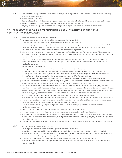- 3.2.7 The group certification organization shall have communication processes in place to raise the awareness of *group members* concerning: a. the group management policy;
	- b. the requirements of the standard;
	- c. their contribution to the effectiveness of the group management system, including the benefits of improved group performance;
	- d. the implications of not conforming with the group management system requirements, and
	- e. the group certification organization shall determine the processes required for internal and external communications.

#### **3.3 ORGANIZATIONAL ROLES, RESPONSIBILITIES, AND AUTHORITIES FOR THE** *GROUP CERTIFICATION ORGANIZATION*

**3.3.1** Functions and responsibilities of the group manager

The following functions and responsibilities of the group manager shall be specified:

- a. implement and maintain an effective management system covering all *group members*;
- b. represent the group certification organization in the certification process, including in communications and relationships with the certification body, submission of an application for certification, and contractual relationship with the certification body;
- c. establish written procedures for the management of the *group certification organization*;
- d. establish written procedures for the acceptance of new *group members* of the group certification organization. These acceptance procedures shall cover at least the verification of the applicant's information about contact details, clear identification of their forest property and its/their size(s);
- e. establish written procedures for the suspension and exclusion of *group members* who do not correct/close nonconformities. *Group members* excluded from any group certification organizations based on nonconformities cannot be accepted within 12 months after exclusion;
- f. keep documented information of:
	- i. the group manager and *group members*' conformity with the requirements of the standard,
	- ii. all *group members*, including their contact details, identification of their forest property and its/ their size(s) (for forest management group certification organizations), the certified area (for forest management group certification organizations),
	- iii. identification of affected stakeholders (for forest management group certification organizations),
	- iv. the implementation of an internal monitoring program, its review and any preventive and/or corrective actions taken;
- g. documented information relevant to the group management system and the conformance with the requirements of the standard shall be up to date and adequately protected against loss of confidentiality, improper use, or loss of integrity.
- h. establish connections with all *group members* based on a binding written agreement which shall include the *group members*  commitment to comply with the standard. The group manager shall have a written contract or other written agreement with all *group members* covering the right of the group manager to implement and enforce any corrective or preventive measures, and to initiate the exclusion of any *group member* from the scope of certification in the event of nonconformity with the standard;
- i. provide all *group members* with a document confirming participation in the group certification organization.
- j. provide all *group members* with information and guidance required for the effective implementation and maintenance of the standard;
- k. address nonconformities reported from *group members* which were identified under other certifications than the particular *group*  certification organization and to ensure implementation with all *group members*;
- l. operate an internal monitoring program that provides for the evaluation of the *group members*' conformity with the certification requirements;
- m.operate an annual internal audit program covering both *group members* and group manager;
- n. operate a management review of the group certification organization and act on the results from the review;
- o. provide full co-operation and assistance in responding effectively to all requests from the certification body, accreditation body for relevant data, documentation or other information; allowing access to the forest area covered by the group certification organization and/or other facilities;
- p. maintain appropriate mechanisms for resolving complaints and disputes relating to group management and the standard requirements.

#### 3.3.2 Function and responsibilities of *group members*

The following functions and responsibilities of the *group members* shall be specified:

- a. to provide the *group member* with a binding written agreement, including a commitment on conformity with the standard requirements and other applicable requirements of the certification system; *group members* excluded from any group certification organization cannot apply for group membership within 12 months after exclusion;
- b. to provide the group manager with information about previous group certification organization participation;
- c. to comply with the standard and other applicable requirements of the certification system as well as with the requirements of the management system;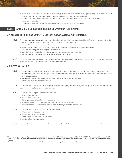- d. to provide full co-operation and assistance in responding effectively to all requests from the group manager, or certification body for relevant data, documentation or other information; allowing access to the forest and/or facilities;
- e. to inform the group manager about nonconformities identified under other certifications than the particular *group*  certification organization;
- f. to implement relevant corrective and preventive actions established by the group manager.

### **PART 4: EVALUATING THE GROUP CERTIFICATION ORGANIZATION PERFORMANCE**

#### **4.1 MONITORING OF** *GROUP CERTIFICATION ORGANIZATION* **PERFORMANCE**

- 4.1.1 The group certification organization shall maintain an internal monitoring program that provides confidence in the conformity of the group organization with the standard requirements. The program shall determine:
	- a. what shall be monitored and measured;
	- b. the methods for monitoring, measurement, analysis and evaluation, as applicable, to ensure valid results;
	- c. when the monitoring and measuring shall be performed;
	- d. when the results from monitoring and measurement shall be analysed and evaluated;
	- e. what documented information shall be available as evidence of the results.
- 4.1.2 The group certification organization shall evaluate the group management performance and the effectiveness of the group management system concerning the implementation of the standard requirements.

#### **4.2 INTERNAL AUDIT10**

- 4.2.1 The annual internal audit program shall provide information on whether the group certification organization's management system: a. conforms to the group certification organization's own requirements for its group management system and the requirements of the certification standard;
	- b. ensures the implementation of the standard requirements at the *group member* level;
	- c. is effectively implemented and maintained.
- 4.2.2 The internal audit program shall cover the group manager and all *group members*. The group manager shall be audited annually. The *group members* may be selected on a sample basis.
- 4.2.3 The internal audit program which shall cover at least:
	- a. the audit planning process;
	- b. the audit criteria and scope;
	- c. the competence and impartiality of the *auditors*;
	- d. reporting the audit result to the *group certification organization* management;
	- e. retaining of evidence of the implementation of the audit program and the audit results.
- **4.2.4** The internal audit program shall include procedures for $11$ :
	- a. determination of the sample size;
	- b. determination of sample categories;
	- c. distribution of the sample to the categories;
	- d. selection of the *group members*.

4.2.5 At least 25% of the audit sample should be selected at random with the remaining sites selected on the basis of a risk assessment.

<sup>&</sup>lt;sup>10</sup> When designing and implementing a program to evaluate conformance with the *SFI 2022 Forest Management Standard*, *SFI 2022 Fiber Sourcing Standard* or the *SFI* Small Scale Forest Management Module for Indigenous Peoples and Families, Certified Organizations should reference ISO 19011 Guidelines for auditing management systems.

 $11$  Group certification organizations should reference IAF MD-1 for further information regarding audit sample selection.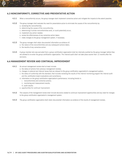#### **4.3 NONCONFORMITY, CORRECTIVE AND PREVENTATIVE ACTION**

- 4.3.1 When a nonconformity occurs, the group manager shall implement corrective action and mitigate the impacts to the extent possible;
- 4.3.2 The group manager shall evaluate the need for preventative action to eliminate the causes of the nonconformity by: a. reviewing the nonconformity;
	- b. determining the causes of the nonconformity;
	- c. determining if similar nonconformities exist, or could potentially occur;
	- d. implement any action needed;
	- e. review the effectiveness of any corrective action taken;
	- f. make changes to the group management system, if necessary.
- **4.3.3** The group manager shall retain documented information as evidence of: a. the nature of the nonconformities and any subsequent actions taken; b. the results of any corrective action.
- 4.3.4 A *group member* who was excluded from a *group certification organization* shall be internally audited by the group manager before they are allowed to re-enter the group certification organization. The internal audit shall not take place sooner than 12 months after the exclusion.

#### **4.4 MANAGEMENT REVIEW AND CONTINUAL IMPROVEMENT**

- 4.4.1 An annual management review shall at least include:
	- a. the status of actions from previous management reviews;
	- b. changes in external and internal issues that are relevant to the group certification organization's management system;
	- c. the status of conformity with the standard, that includes reviewing the results of the internal monitoring program the internal audit and the certification body's evaluations and surveillance;
	- d. information on the *group certification organization'*s performance, including trends in:
		- i. nonconformities and corrective actions;
		- ii. monitoring and measurement results;
		- iii. audit results;
	- e. opportunities for continual improvement.
- 4.4.2 The outputs of the management review shall include decisions related to continual improvement opportunities and any need for changes to the group certification organization's management system.
- 4.4.3 The group certification organization shall retain documented information as evidence of the results of management reviews.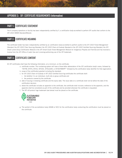## **APPENDIX 3: SFI CERTIFICATE REQUIREMENTS (Informative)**

## **PART 1: CERTIFICATE STATEMENT**

The X company operations or facility has been independently certified by Y, a *certification body* accredited to perform SFI audits that conform to the SFI 2022 XXXXX Standard/Module.

## **PART 2: CERTIFICATE MEANING**

The certificate holder has been independently certified by an certification body accredited to perform audits to the S*FI 2022 Forest Management Standard,* the *SFI 2022 Fiber Sourcing Standard,* the *SFI 2022 Chain-of-Custody Standard* or the SFI 2022 Certified Sourcing Standard, the *SFI*  Small Lands Group Certification Module or the *SFI Small Scale Forest Management Module for Indigenous Peoples and Families* and has received a license from the SFI Office of Label Use and Licensing authorizing use of the *SFI* trademark.

## **PART 3: CERTIFICATE CONTENT**

All *SFI* certificates shall have the following information, at a minimum, on the certificate:

- a. certificate number: The numbering system will have a three-letter abbreviation of the SFI certification body's name, followed by "SFIFM; SFIFS; SFICS, SFICOC, SFISLGCM, or SFISCFMMIPF" followed by the certification body identifier for that organization.
- b. scope of the certification granted including the standard;
- c. for SFI 2022 Chain of-Custody or SFI 2022 Certified Sourcing certificates the certificate shall:
	- i. list whether it is an individual, multi-site or group certificate and
	- ii. the products covered by the certificate
- d. date of issuing or renewing certificate and the expiry date. The issue date on a certificate shall not be before the date of the certification decision.
- e. where the certificate includes an appendix to the certificate, the certificate shall include a reference to the appendix, and the appendix shall be considered as part of the certificate and be provided whenever the certificate is requested.
- f. The SFI off-product logo trademark (see below) must be placed on the certificate.



g. The symbol of the accreditation body (ANAB or SCC) for the certification body conducting the certification must be placed on the certificate.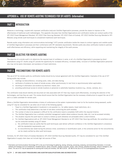## **APPENDIX 4: USE OF REMOTE AUDITING TECHNIQUES FOR SFI AUDITS (Informative)**

## **PART 1: INTRODUCTION**

Advances in technology, coupled with improved *certification body* and *Certified Organization* processes, provide the means to improve on the effectiveness of traditional audit methodologies. This appendix discusses how Certified Organizations and certification bodies can conduct audits of the SFI 2022 Forest Management Standard, SFI 2022 Fiber Sourcing Standard, SFI 2022 Chain-of-Custody, SFI 2022 Certified Sourcing Standard or SFI Modules using remote audit techniques to complement traditional audit techniques.

Remote audits using information and communications technology<sup>12</sup> (ICT) provide *certification bodies* the means to conduct rigorous and credible audits of Certified Organization's processes and their conformance with SFI standards requirements. Remote audits also allow certification bodies to optimize audit effectiveness and efficiency, while supporting and maintaining the integrity of the audit process.

## **PART 2: . OBJECTIVE FOR REMOTE AUDITING**

The objective of a remote audit is to determine the required level of confidence in some, or all, of a Certified Organization's processes by direct observations using ICT. Audits using ICT provide the opportunity for increased efficiency, increased safety, inclusion of Certified Organization personnel who may not be easily interviewed, and avoidance of travel restrictions.

## **PART 3: . PRECONDITIONS FOR REMOTE AUDITS**

The use of ICT for remote audits by *certification bodies* should be by mutual agreement with the *Certified Organization*. Examples of the use of ICT during audits may include:

- i. meetings via teleconference, including audio, video, and data sharing;
- ii. verification of evidence by means of remote access, either synchronously (in real time) or asynchronously (when applicable);
- iii. recording of information and evidence by electronic means; and
- iv. providing audio/visual access to remote locations or personnel or potentially hazardous locations (e.g., drones, cameras, etc.).

The *certification body* should identify and document all risks associated with ICT that may impact audit effectiveness, including the selection of the technologies, and how they are used. This review should ensure that the Certified Organization has the necessary infrastructure to support the use of ICT and is a viable candidate for remote audit.

Where a Certified Organization demonstrates a history of conformance at the system implementation level (or for the locations being assessed), audits using ICT may be considered for use when one of more of the following applies:

- i. Travel to a Certified Organization's location(s) is not possible (i.e., for safety reasons, travel restrictions, etc.).
- ii. The *certification body* determines a low level of risk when conducting the audit remotely.
- iii. The number of sites to be assessed is difficult for the *certification body* to completely fulfill within the required timeline.
- iv. The Certified Organization has a centrally controlled management system where evidence (records, data, etc.) can be accessed remotely.
- v. The situation requires the audit team to conduct a follow-up audit otherwise not achievable within a short timeline.
- vi. For Certified Organizations with an *SFI 2022 Forest Management Standard* or an *SFI 2022 Fiber Sourcing* certificate, the surveillance audit can be conducted remotely using ICT where:
	- a. the certification body can justify that the audit techniques used deliver sufficient confidence in the Certified Organization's compliance with the standard(s) requirements; and
	- b. no nonconformity was raised during the previous initial, surveillance or recertification audit, or the corrective action for the nonconformity can be clearly verified by other audit techniques.

Similarly, for *SFI 2022 Chain-of-Custody Standard* or SFI 2022 Certified Sourcing Standard audits, ICT may be considered for use if the Certified Organization's supply chain does not include high risk sources of fiber.

<sup>&</sup>lt;sup>12</sup> Information and Communications Technology (ICT) is the use of technology for gathering, storing, retrieving, processing, analyzing, and transmitting information. It includes software and hardware such as smartphones, handheld devices, laptop computers, desktop computers, drones, video cameras, wearable technology, artificial intelligence, and others. The use of ICT may be appropriate for auditing both locally and remotely. (IAF MD 4:2018 – IAF MD for the Use of ICT for Auditing/Assessment Purposes)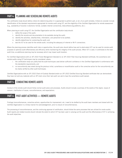## **PART 4: . PLANNING AND SCHEDULING REMOTE AUDITS**

The certification body should define criteria for determining when it is appropriate to perform part, or all, of an audit remotely. Criteria to consider include identification of the standard requirements appropriate for remote audit using ICT, and the eligibility of the Certified Organization for remote assessment (e.g., availability of records in electronic format, suitable internet connectivity, teleconferencing platforms, etc.).

When planning an audit using ICT, the Certified Organization and the certification body should:

- i. define the scope of the audit;
- ii. identify the records and documentation to be available during the audit;
- iii. identify the activities, sites/facilities, information, and personnel to be audited;
- iv. identify dates/times for conducting the audit; and
- v. test the ICT to be used for the remote audit, including the adequacy of internet or Wi-Fi connections.

Where the planning process identifies audit risks or opportunities, the audit plan should define how and to what extent ICT can be used for remote audit purposes to optimize audit effectiveness and efficiency while maintaining the integrity of the audit process. When ICT is used, it contributes to the total audit time, as additional planning may be necessary which may impact audit duration.

For Certified Organizations with an *SFI 2022 Forest Management Standard* or an *SFI 2022 Fiber Sourcing Standard* certificate, the surveillance and remote audits using ICT techniques may be considered, where:

- i. the certification body can justify that the audit techniques used deliver sufficient confidence in the Certified Organization's conformance with the standard(s) requirements; and
- ii. no nonconformity was raised during the previous initial, surveillance or recertification audit or the corrective action for the nonconformity can be clearly verified by other audit techniques.

Certified Organizations with an *SFI 2022 Chain-of-Custody Standard* and/or an SFI 2022 Certified Sourcing Standard certificate that can demonstrate they have not sold any materials with an *SFI* claim since their last audit can ask to have the surveillance audit waived.

## **PART 5: . CONDUCTING REMOTE AUDITS**

Conduct of the remote audit should follow normal audit plans and processes. Audits should include a summary of the events of the day(s), issues of concern, clarification of issues, nonconformances, and expectations.

## **PART 6: . POST AUDIT ACTIVITIES — REMOTE AUDITS**

Findings (nonconformances, corrective actions, opportunities for improvement, etc.) need to be drafted by the audit team members and shared with the Certified Organization in a timely manner for acknowledgement, prior to closure of nonconformances.

The processing of nonconformances, and the continuing approval of certification, should follow the same processes that are utilized for onsite audits. Audit reports and related records should indicate the extent to which ICT has been used in carrying out the audit and the effectiveness of ICT in achieving the audit objectives.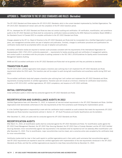## **APPENDIX 5: TRANSITION TO THE SFI 2022 STANDARDS AND RULES (Normative)**

The *SFI 2022 Standard and Rules* replace the SFI 2015-2021 Standards, which is the current standard implemented by Certified Organizations. The SFI 2015-2021 Standards will remain valid until the completion of the SFI 2022 transition period.

SFI Inc. developed the *SFI 2022 Standard and Rules* but does not conduct auditing and certification. All certification, recertification, and surveillance audits to the *SFI 2022 Standard and Rules* shall be conducted by certification bodies accredited by the ANSI National Accreditation Board (ANAB) or the Standards Council of Canada (SCC) to complete certification to the *SFI 2022 Standard and Rules*.

Changes adopted by the *SFI Inc.* Board of Directors to the *SFI 2022 Standards and Rules* shall be incorporated into a Certified Organization's policies, plans, and management activities within one year of adoption and publication. Similarly, changes to certification procedures and qualifications for certification bodies shall be accomplished within one year of adoption and publication.

Accredited *certification bodies* are required to maintain audit processes consistent with the requirements of the International Organization for Standardization (ISO) 17021:2015 conformity assessment — requirements for bodies providing audit and certification of management systems; and conduct audits in accordance with the principles of auditing contained in the ISO 19011:2018 Guidelines for Quality and/or Environmental Management Systems Auditing.

ANAB and SCC-accredited certification to the *SFI 2022 Standards and Rules* shall not be granted until they are published as standards.

#### **TRANSITION PLANS**

The SFI 2015-2021 certified organization shall prepare a transition plan outlining how it will implement the *SFI 2022 Standards and Rules* requirements before the 2022 audit. This transition plan will be subject to audit during both recertification and surveillance audits during 2022 and 2023.

The accredited certification body shall prepare a transition plan outlining how it will conform and implement the *SFI 2022 Standards and Rules* requirements including transition of certified organizations. Transition plan will include at a minimum, timelines for certification body transition, transition of SFI 2015-2021 certified organizations, SFI 2022 competence, and issuance of a SFI 2022 certificate.

#### **INITIAL CERTIFICATION**

Initial certification audits in 2022 shall be conducted against the *SFI 2022 Standards and Rules*.

#### **RECERTIFICATION AND SURVEILLANCE AUDITS IN 2022**

Certified Organizations have until December 31, 2022, to implement all new and revised requirements in the *SFI 2022 Standards and Rules*. Certified Organizations shall demonstrate conformance to the new requirements at their first surveillance audit following the implementation period.

It is the Certified Organization's responsibility to work with the certification body to establish an audit schedule that meets the requirements *SFI 2022 Standards and Rules* transition requirements outlined in Section 10 - SFI Audit Procedures and Auditor Qualifications and Accreditation.

After December 31, 2022, all audits shall be conducted against the *SFI 2022 Standards and Rules*.

#### **RECERTIFICATION AUDITS**

After March 31, 2022, all recertification audits shall be conducted against the *SFI 2022 Standards and Rules*. For recertification audits against the SFI 2022 Forest Management Standard, the *SFI 2022 Fiber Sourcing Standard,* the *SFI 2022 Chain of Custody Standard, and* the SFI 2022 Certified *Sourcing Standard*, minor nonconformities against new requirements in the standards shall be reported but will not adversely affect recertification until after December 31, 2022. Prior to recertification, major nonconformities must be closed, and a corrective action plan accepted by the *certification body* for minor nonconformities.

Certification bodies shall be clear in their audit reports to certified organizations and in their public audit summaries that nonconformities against new SFI 2022 requirements are reported to assist the certified organization with implementation of the new requirements introduced in the *SFI 2022 Standards and Rules*, and that the certified organizations are required to close these nonconformities by December 31, 2022.